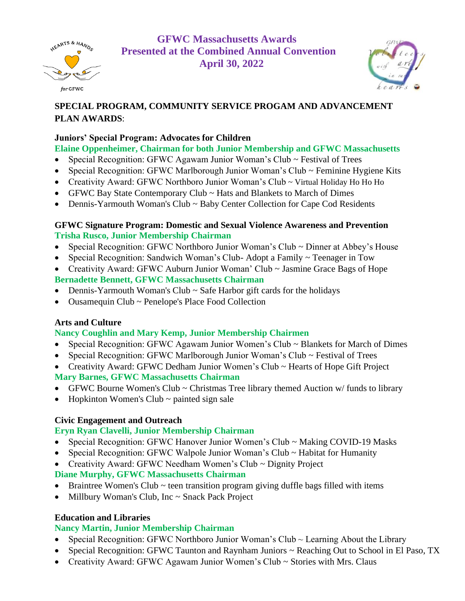

**GFWC Massachusetts Awards Presented at the Combined Annual Convention April 30, 2022**



# **SPECIAL PROGRAM, COMMUNITY SERVICE PROGAM AND ADVANCEMENT PLAN AWARDS**:

#### **Juniors' Special Program: Advocates for Children**

# **Elaine Oppenheimer, Chairman for both Junior Membership and GFWC Massachusetts**

- Special Recognition: GFWC Agawam Junior Woman's Club ~ Festival of Trees
- Special Recognition: GFWC Marlborough Junior Woman's Club ~ Feminine Hygiene Kits
- Creativity Award: GFWC Northboro Junior Woman's Club ~ Virtual Holiday Ho Ho Ho
- GFWC Bay State Contemporary Club ~ Hats and Blankets to March of Dimes
- Dennis-Yarmouth Woman's Club ~ Baby Center Collection for Cape Cod Residents

#### **GFWC Signature Program: Domestic and Sexual Violence Awareness and Prevention Trisha Rusco, Junior Membership Chairman**

- Special Recognition: GFWC Northboro Junior Woman's Club ~ Dinner at Abbey's House
- Special Recognition: Sandwich Woman's Club-Adopt a Family ~ Teenager in Tow
- Creativity Award: GFWC Auburn Junior Woman' Club ~ Jasmine Grace Bags of Hope **Bernadette Bennett, GFWC Massachusetts Chairman**
- Dennis-Yarmouth Woman's Club ~ Safe Harbor gift cards for the holidays
- Ousamequin Club ~ Penelope's Place Food Collection

# **Arts and Culture**

# **Nancy Coughlin and Mary Kemp, Junior Membership Chairmen**

- Special Recognition: GFWC Agawam Junior Women's Club ~ Blankets for March of Dimes
- Special Recognition: GFWC Marlborough Junior Woman's Club ~ Festival of Trees
- Creativity Award: GFWC Dedham Junior Women's Club ~ Hearts of Hope Gift Project

**Mary Barnes, GFWC Massachusetts Chairman**

- GFWC Bourne Women's Club ~ Christmas Tree library themed Auction w/ funds to library
- Hopkinton Women's Club  $\sim$  painted sign sale

# **Civic Engagement and Outreach**

# **Eryn Ryan Clavelli, Junior Membership Chairman**

- Special Recognition: GFWC Hanover Junior Women's Club ~ Making COVID-19 Masks
- Special Recognition: GFWC Walpole Junior Woman's Club ~ Habitat for Humanity
- Creativity Award: GFWC Needham Women's Club ~ Dignity Project

# **Diane Murphy, GFWC Massachusetts Chairman**

- Braintree Women's Club  $\sim$  teen transition program giving duffle bags filled with items
- Millbury Woman's Club, Inc ~ Snack Pack Project

# **Education and Libraries**

# **Nancy Martin, Junior Membership Chairman**

- Special Recognition: GFWC Northboro Junior Woman's Club  $\sim$  Learning About the Library
- Special Recognition: GFWC Taunton and Raynham Juniors ~ Reaching Out to School in El Paso, TX
- Creativity Award: GFWC Agawam Junior Women's Club ~ Stories with Mrs. Claus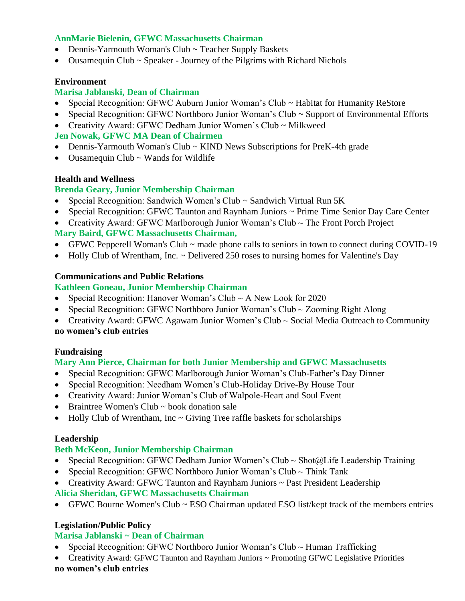#### **AnnMarie Bielenin, GFWC Massachusetts Chairman**

- Dennis-Yarmouth Woman's Club ~ Teacher Supply Baskets
- Ousamequin Club ~ Speaker Journey of the Pilgrims with Richard Nichols

#### **Environment**

#### **Marisa Jablanski, Dean of Chairman**

- Special Recognition: GFWC Auburn Junior Woman's Club ~ Habitat for Humanity ReStore
- Special Recognition: GFWC Northboro Junior Woman's Club ~ Support of Environmental Efforts
- Creativity Award: GFWC Dedham Junior Women's Club ~ Milkweed

#### **Jen Nowak, GFWC MA Dean of Chairmen**

- Dennis-Yarmouth Woman's Club ~ KIND News Subscriptions for PreK-4th grade
- Ousamequin Club ~ Wands for Wildlife

#### **Health and Wellness**

# **Brenda Geary, Junior Membership Chairman**

- Special Recognition: Sandwich Women's Club ~ Sandwich Virtual Run 5K
- Special Recognition: GFWC Taunton and Raynham Juniors ~ Prime Time Senior Day Care Center
- Creativity Award: GFWC Marlborough Junior Woman's Club ~ The Front Porch Project **Mary Baird, GFWC Massachusetts Chairman,**
- GFWC Pepperell Woman's Club ~ made phone calls to seniors in town to connect during COVID-19
- Holly Club of Wrentham, Inc. ~ Delivered 250 roses to nursing homes for Valentine's Day

#### **Communications and Public Relations**

#### **Kathleen Goneau, Junior Membership Chairman**

- Special Recognition: Hanover Woman's Club  $\sim$  A New Look for 2020
- Special Recognition: GFWC Northboro Junior Woman's Club ~ Zooming Right Along
- Creativity Award: GFWC Agawam Junior Women's Club ~ Social Media Outreach to Community **no women's club entries**

# **Fundraising**

# **Mary Ann Pierce, Chairman for both Junior Membership and GFWC Massachusetts**

- Special Recognition: GFWC Marlborough Junior Woman's Club-Father's Day Dinner
- Special Recognition: Needham Women's Club-Holiday Drive-By House Tour
- Creativity Award: Junior Woman's Club of Walpole-Heart and Soul Event
- Braintree Women's Club ~ book donation sale
- Holly Club of Wrentham, Inc  $\sim$  Giving Tree raffle baskets for scholarships

# **Leadership**

# **Beth McKeon, Junior Membership Chairman**

- Special Recognition: GFWC Dedham Junior Women's Club  $\sim$  Shot@Life Leadership Training
- Special Recognition: GFWC Northboro Junior Woman's Club  $\sim$  Think Tank
- Creativity Award: GFWC Taunton and Raynham Juniors ~ Past President Leadership **Alicia Sheridan, GFWC Massachusetts Chairman**
- GFWC Bourne Women's Club ~ ESO Chairman updated ESO list/kept track of the members entries

# **Legislation/Public Policy**

# **Marisa Jablanski ~ Dean of Chairman**

- Special Recognition: GFWC Northboro Junior Woman's Club  $\sim$  Human Trafficking
- Creativity Award: GFWC Taunton and Raynham Juniors ~ Promoting GFWC Legislative Priorities **no women's club entries**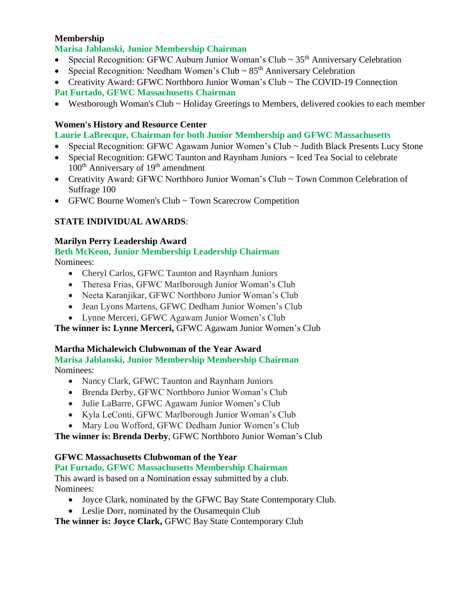#### **Membership**

#### **Marisa Jablanski, Junior Membership Chairman**

- Special Recognition: GFWC Auburn Junior Woman's Club  $\sim 35<sup>th</sup>$  Anniversary Celebration
- Special Recognition: Needham Women's Club  $\sim 85$ <sup>th</sup> Anniversary Celebration
- Creativity Award: GFWC Northboro Junior Woman's Club ~ The COVID-19 Connection

#### **Pat Furtado, GFWC Massachusetts Chairman**

• Westborough Woman's Club ~ Holiday Greetings to Members, delivered cookies to each member

#### **Women's History and Resource Center**

#### **Laurie LaBrecque, Chairman for both Junior Membership and GFWC Massachusetts**

- Special Recognition: GFWC Agawam Junior Women's Club ~ Judith Black Presents Lucy Stone
- Special Recognition: GFWC Taunton and Raynham Juniors ~ Iced Tea Social to celebrate  $100<sup>th</sup>$  Anniversary of  $19<sup>th</sup>$  amendment
- Creativity Award: GFWC Northboro Junior Woman's Club ~ Town Common Celebration of Suffrage 100
- GFWC Bourne Women's Club ~ Town Scarecrow Competition

# **STATE INDIVIDUAL AWARDS**:

#### **Marilyn Perry Leadership Award**

# **Beth McKeon, Junior Membership Leadership Chairman**

Nominees:

- Cheryl Carlos, GFWC Taunton and Raynham Juniors
- Theresa Frias, GFWC Marlborough Junior Woman's Club
- Neeta Karanjikar, GFWC Northboro Junior Woman's Club
- Jean Lyons Martens, GFWC Dedham Junior Women's Club
- Lynne Merceri, GFWC Agawam Junior Women's Club

**The winner is: Lynne Merceri,** GFWC Agawam Junior Women's Club

# **Martha Michalewich Clubwoman of the Year Award**

#### **Marisa Jablanski, Junior Membership Membership Chairman** Nominees:

- Nancy Clark, GFWC Taunton and Raynham Juniors
- Brenda Derby, GFWC Northboro Junior Woman's Club
- Julie LaBarre, GFWC Agawam Junior Women's Club
- Kyla LeConti, GFWC Marlborough Junior Woman's Club
- Mary Lou Wofford, GFWC Dedham Junior Women's Club

**The winner is: Brenda Derby**, GFWC Northboro Junior Woman's Club

# **GFWC Massachusetts Clubwoman of the Year**

# **Pat Furtado, GFWC Massachusetts Membership Chairman**

This award is based on a Nomination essay submitted by a club. Nominees:

- Joyce Clark, nominated by the GFWC Bay State Contemporary Club.
- Leslie Dorr, nominated by the Ousamequin Club

**The winner is: Joyce Clark,** GFWC Bay State Contemporary Club